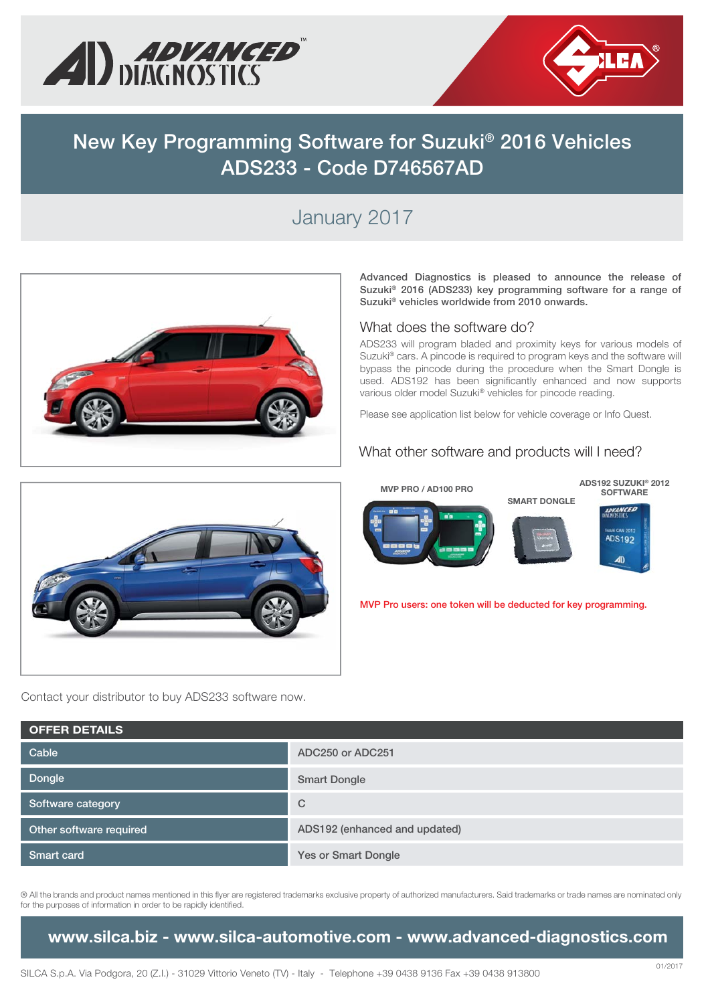



# **New Key Programming Software for Suzuki® 2016 Vehicles ADS233 - Code D746567AD**

### January 2017



**Advanced Diagnostics is pleased to announce the release of Suzuki® 2016 (ADS233) key programming software for a range of Suzuki® vehicles worldwide from 2010 onwards.**

#### What does the software do?

ADS233 will program bladed and proximity keys for various models of Suzuki® cars. A pincode is required to program keys and the software will bypass the pincode during the procedure when the Smart Dongle is used. ADS192 has been significantly enhanced and now supports various older model Suzuki® vehicles for pincode reading.

Please see application list below for vehicle coverage or Info Quest.

#### What other software and products will I need?



**MVP Pro users: one token will be deducted for key programming.**



Contact your distributor to buy ADS233 software now.

| <b>OFFER DETAILS</b>    |                               |  |  |  |  |
|-------------------------|-------------------------------|--|--|--|--|
| Cable                   | ADC250 or ADC251              |  |  |  |  |
| Dongle                  | <b>Smart Dongle</b>           |  |  |  |  |
| Software category       | C                             |  |  |  |  |
| Other software required | ADS192 (enhanced and updated) |  |  |  |  |
| Smart card              | <b>Yes or Smart Dongle</b>    |  |  |  |  |

® All the brands and product names mentioned in this flyer are registered trademarks exclusive property of authorized manufacturers. Said trademarks or trade names are nominated only for the purposes of information in order to be rapidly identified.

### **www.silca.biz - www.silca-automotive.com - www.advanced-diagnostics.com**